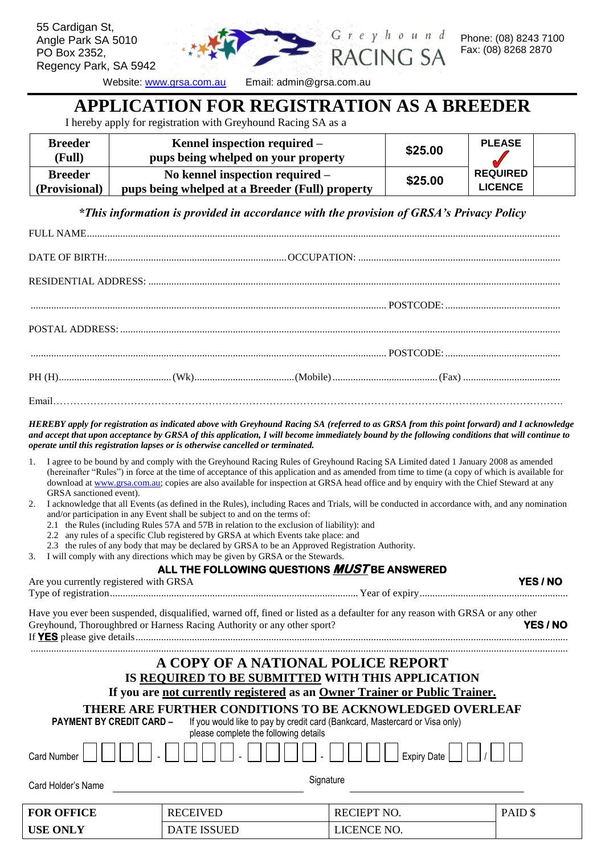

eyhound ING SA

55 Cardigan St, Angle Park SA 5010

PO Box 2352,

Regency Park, SA 5942

Website: [www.grsa.com.au](http://www.greyhoundracingsa.com.au/) Email: admin@grsa.com.au

### **APPLICATION FOR REGISTRATION AS A BREEDER**

I hereby apply for registration with Greyhound Racing SA as a

| <b>Breeder</b><br>(Full)                            | Kennel inspection required $-$<br>pups being whelped on your property |         | <b>PLEASE</b>   |  |
|-----------------------------------------------------|-----------------------------------------------------------------------|---------|-----------------|--|
| <b>Breeder</b><br>No kennel inspection required $-$ |                                                                       | \$25.00 | <b>REQUIRED</b> |  |
| (Provisional)                                       | pups being whelped at a Breeder (Full) property                       |         | <b>LICENCE</b>  |  |

*\*This information is provided in accordance with the provision of GRSA's Privacy Policy*

*HEREBY apply for registration as indicated above with Greyhound Racing SA (referred to as GRSA from this point forward) and I acknowledge and accept that upon acceptance by GRSA of this application, I will become immediately bound by the following conditions that will continue to operate until this registration lapses or is otherwise cancelled or terminated.* 

- 1. I agree to be bound by and comply with the Greyhound Racing Rules of Greyhound Racing SA Limited dated 1 January 2008 as amended (hereinafter "Rules") in force at the time of acceptance of this application and as amended from time to time (a copy of which is available for download at [www.grsa.com.au;](http://www.grsa.com.au/) copies are also available for inspection at GRSA head office and by enquiry with the Chief Steward at any GRSA sanctioned event).
- 2. I acknowledge that all Events (as defined in the Rules), including Races and Trials, will be conducted in accordance with, and any nomination and/or participation in any Event shall be subject to and on the terms of:
	- 2.1 the Rules (including Rules 57A and 57B in relation to the exclusion of liability): and
	- 2.2 any rules of a specific Club registered by GRSA at which Events take place: and
	- 2.3 the rules of any body that may be declared by GRSA to be an Approved Registration Authority.
- 3. I will comply with any directions which may be given by GRSA or the Stewards.

#### **ALL THE FOLLOWING QUESTIONS MUST BE ANSWERED**

| Are you currently registered with GRSA                                  |                                       |                                                                                                                                                                                                                                                                                                                                        | <b>YES / NO</b> |
|-------------------------------------------------------------------------|---------------------------------------|----------------------------------------------------------------------------------------------------------------------------------------------------------------------------------------------------------------------------------------------------------------------------------------------------------------------------------------|-----------------|
| Greyhound, Thoroughbred or Harness Racing Authority or any other sport? |                                       | Have you ever been suspended, disqualified, warned off, fined or listed as a defaulter for any reason with GRSA or any other                                                                                                                                                                                                           | <b>YES / NO</b> |
| <b>PAYMENT BY CREDIT CARD -</b><br><b>Card Number</b>                   | please complete the following details | A COPY OF A NATIONAL POLICE REPORT<br>IS REQUIRED TO BE SUBMITTED WITH THIS APPLICATION<br>If you are not currently registered as an Owner Trainer or Public Trainer.<br>THERE ARE FURTHER CONDITIONS TO BE ACKNOWLEDGED OVERLEAF<br>If you would like to pay by credit card (Bankcard, Mastercard or Visa only)<br><b>Expiry Date</b> |                 |
| Card Holder's Name                                                      |                                       | Signature                                                                                                                                                                                                                                                                                                                              |                 |
| <b>FOR OFFICE</b>                                                       | <b>RECEIVED</b>                       | <b>RECIEPT NO.</b>                                                                                                                                                                                                                                                                                                                     | PAID \$         |
| <b>USE ONLY</b>                                                         | <b>DATE ISSUED</b>                    | LICENCE NO.                                                                                                                                                                                                                                                                                                                            |                 |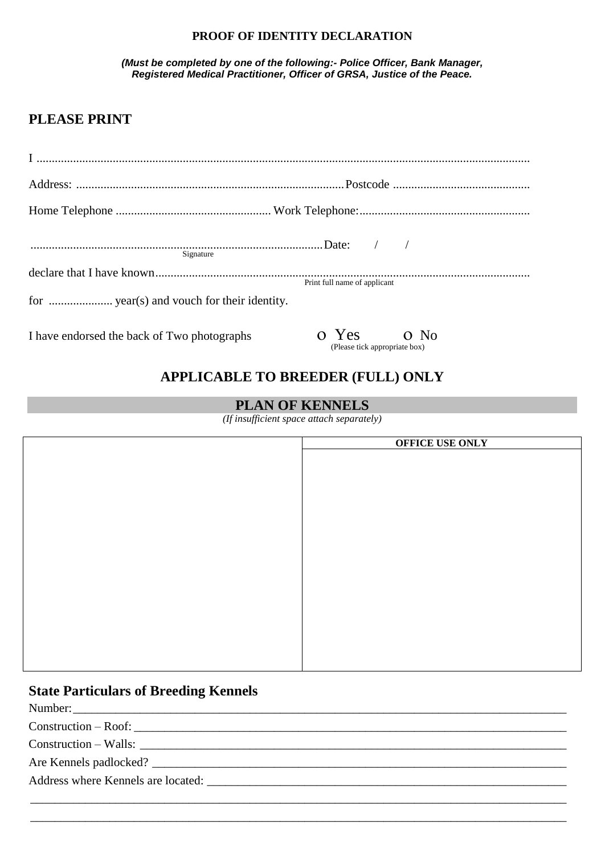#### **PROOF OF IDENTITY DECLARATION**

*(Must be completed by one of the following:- Police Officer, Bank Manager, Registered Medical Practitioner, Officer of GRSA, Justice of the Peace.*

### **PLEASE PRINT**

| Signature                                   |                                             |
|---------------------------------------------|---------------------------------------------|
|                                             | Print full name of applicant                |
|                                             |                                             |
| I have endorsed the back of Two photographs | o Yes o No<br>(Please tick appropriate box) |

### **APPLICABLE TO BREEDER (FULL) ONLY**

#### **PLAN OF KENNELS**

*(If insufficient space attach separately)*

| OFFICE USE ONLY |
|-----------------|
|                 |
|                 |
|                 |
|                 |
|                 |
|                 |
|                 |
|                 |
|                 |
|                 |
|                 |
|                 |
|                 |
|                 |
|                 |
|                 |
|                 |
|                 |

\_\_\_\_\_\_\_\_\_\_\_\_\_\_\_\_\_\_\_\_\_\_\_\_\_\_\_\_\_\_\_\_\_\_\_\_\_\_\_\_\_\_\_\_\_\_\_\_\_\_\_\_\_\_\_\_\_\_\_\_\_\_\_\_\_\_\_\_\_\_\_\_\_\_\_\_\_\_\_\_\_\_\_\_\_\_\_\_ \_\_\_\_\_\_\_\_\_\_\_\_\_\_\_\_\_\_\_\_\_\_\_\_\_\_\_\_\_\_\_\_\_\_\_\_\_\_\_\_\_\_\_\_\_\_\_\_\_\_\_\_\_\_\_\_\_\_\_\_\_\_\_\_\_\_\_\_\_\_\_\_\_\_\_\_\_\_\_\_\_\_\_\_\_\_\_\_

#### **State Particulars of Breeding Kennels**

Number:\_\_\_\_\_\_\_\_\_\_\_\_\_\_\_\_\_\_\_\_\_\_\_\_\_\_\_\_\_\_\_\_\_\_\_\_\_\_\_\_\_\_\_\_\_\_\_\_\_\_\_\_\_\_\_\_\_\_\_\_\_\_\_\_\_\_\_\_\_\_\_\_\_\_\_\_\_\_\_\_\_

 $Construction - Roof:$ 

 $Construction - Walls: \_$ 

Are Kennels padlocked? \_\_\_\_\_\_\_\_\_\_\_\_\_\_\_\_\_\_\_\_\_\_\_\_\_\_\_\_\_\_\_\_\_\_\_\_\_\_\_\_\_\_\_\_\_\_\_\_\_\_\_\_\_\_\_\_\_\_\_\_\_\_\_\_\_\_\_\_

Address where Kennels are located: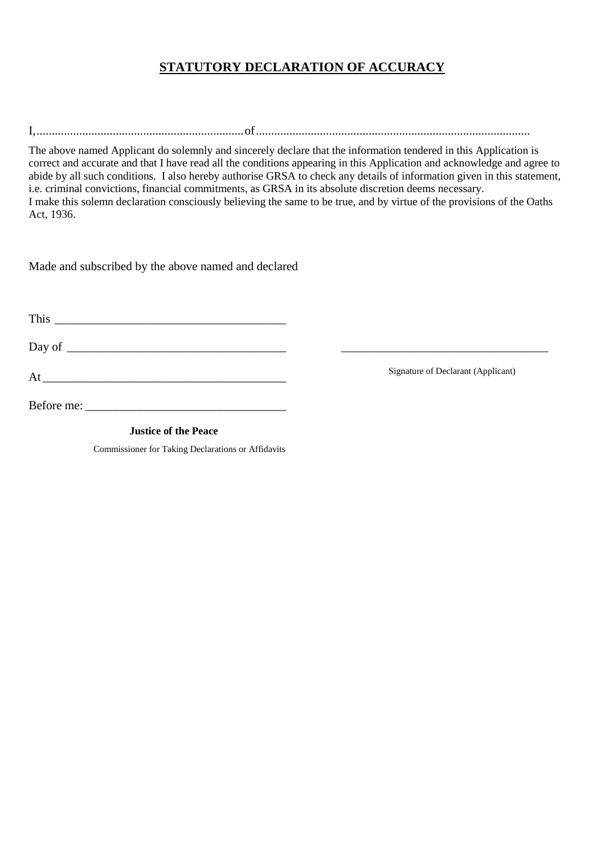#### **STATUTORY DECLARATION OF ACCURACY**

I,....................................................................of..........................................................................................

The above named Applicant do solemnly and sincerely declare that the information tendered in this Application is correct and accurate and that I have read all the conditions appearing in this Application and acknowledge and agree to abide by all such conditions. I also hereby authorise GRSA to check any details of information given in this statement, i.e. criminal convictions, financial commitments, as GRSA in its absolute discretion deems necessary. I make this solemn declaration consciously believing the same to be true, and by virtue of the provisions of the Oaths Act, 1936.

Made and subscribed by the above named and declared

This  $\blacksquare$ 

Day of \_\_\_\_\_\_\_\_\_\_\_\_\_\_\_\_\_\_\_\_\_\_\_\_\_\_\_\_\_\_\_\_\_\_\_\_ \_\_\_\_\_\_\_\_\_\_\_\_\_\_\_\_\_\_\_\_\_\_\_\_\_\_\_\_\_\_\_\_\_\_

 $At$   $\overline{\phantom{a}}$ 

Before me: \_\_\_\_\_\_\_\_\_\_\_\_\_\_\_\_\_\_\_\_\_\_\_\_\_\_\_\_\_\_\_\_\_

 **Justice of the Peace**

Commissioner for Taking Declarations or Affidavits

Signature of Declarant (Applicant)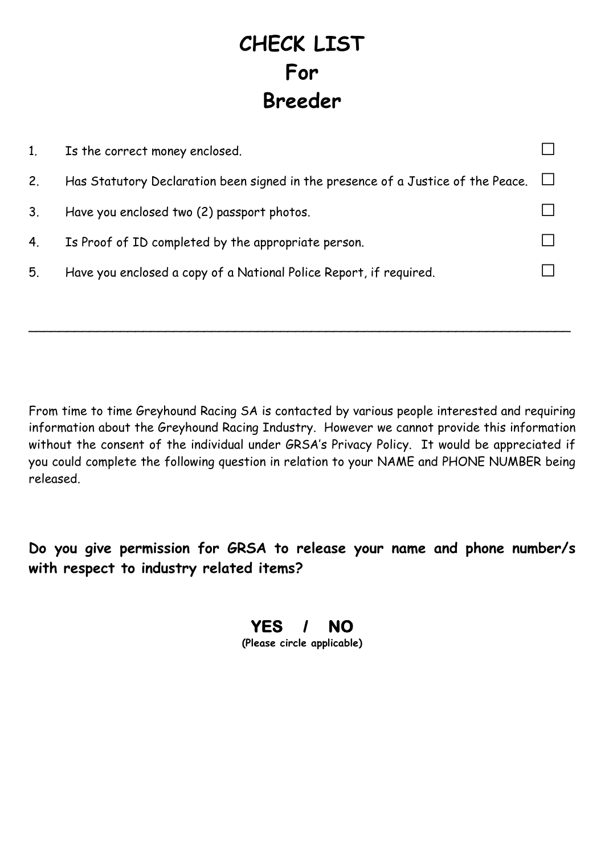### **CHECK LIST For Breeder**

| 1 <sub>1</sub> | Is the correct money enclosed.                                                   |                                       |
|----------------|----------------------------------------------------------------------------------|---------------------------------------|
| 2.             | Has Statutory Declaration been signed in the presence of a Justice of the Peace. | $\begin{array}{c} \hline \end{array}$ |
| 3 <sub>1</sub> | Have you enclosed two (2) passport photos.                                       |                                       |
| 4.             | Is Proof of ID completed by the appropriate person.                              |                                       |
| 5.             | Have you enclosed a copy of a National Police Report, if required.               |                                       |
|                |                                                                                  |                                       |

 $\sim$  . The contract of the contract of the contract of the contract of the contract of the contract of the contract of

From time to time Greyhound Racing SA is contacted by various people interested and requiring information about the Greyhound Racing Industry. However we cannot provide this information without the consent of the individual under GRSA's Privacy Policy. It would be appreciated if you could complete the following question in relation to your NAME and PHONE NUMBER being released.

**Do you give permission for GRSA to release your name and phone number/s with respect to industry related items?**

# **YES / NO**

**(Please circle applicable)**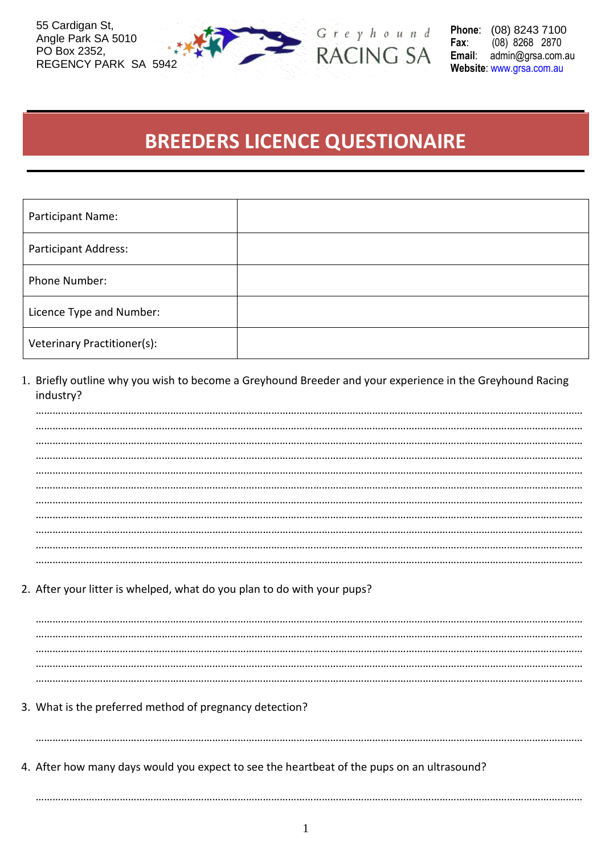55 Cardigan St, Angle Park SA 5010 PO Box 2352, REGENCY PARK SA 5942



 $G$   $r$   $e$   $y$   $h$   $o$   $u$   $n$   $d$ RACING SA Phone: (08) 8243 7100 Fax: (08) 8268 2870 Email: admin@grsa.com.au Website: www.grsa.com.au

### **BREEDERS LICENCE QUESTIONAIRE**

| Participant Name:           |  |
|-----------------------------|--|
| <b>Participant Address:</b> |  |
| Phone Number:               |  |
| Licence Type and Number:    |  |
| Veterinary Practitioner(s): |  |

1. Briefly outline why you wish to become a Greyhound Breeder and your experience in the Greyhound Racing industry?

2. After your litter is whelped, what do you plan to do with your pups?

3. What is the preferred method of pregnancy detection?

4. After how many days would you expect to see the heartbeat of the pups on an ultrasound?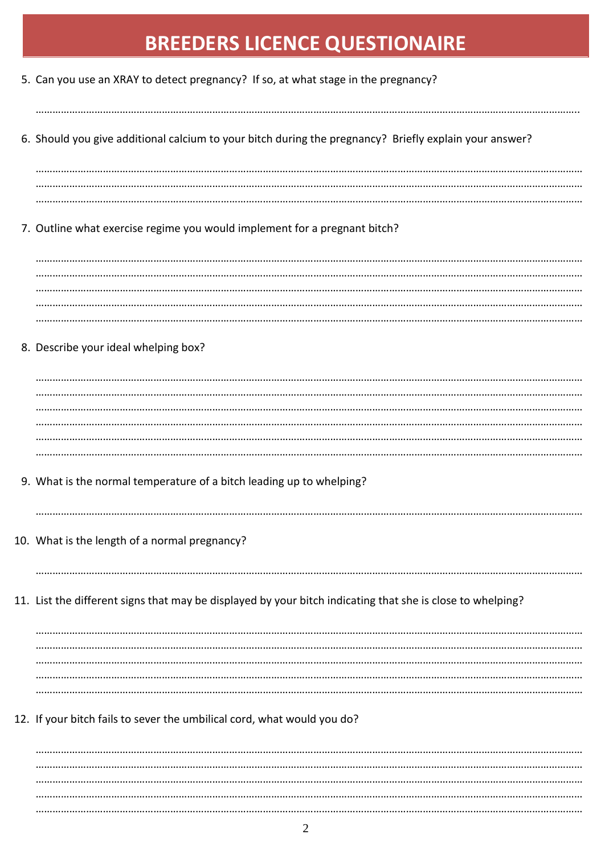## **BREEDERS LICENCE QUESTIONAIRE**

| 5. Can you use an XRAY to detect pregnancy? If so, at what stage in the pregnancy?                         |
|------------------------------------------------------------------------------------------------------------|
| 6. Should you give additional calcium to your bitch during the pregnancy? Briefly explain your answer?     |
|                                                                                                            |
| 7. Outline what exercise regime you would implement for a pregnant bitch?                                  |
|                                                                                                            |
| 8. Describe your ideal whelping box?                                                                       |
|                                                                                                            |
|                                                                                                            |
| 9. What is the normal temperature of a bitch leading up to whelping?                                       |
| 10. What is the length of a normal pregnancy?                                                              |
| 11. List the different signs that may be displayed by your bitch indicating that she is close to whelping? |
|                                                                                                            |
|                                                                                                            |
| 12. If your bitch fails to sever the umbilical cord, what would you do?                                    |
|                                                                                                            |
|                                                                                                            |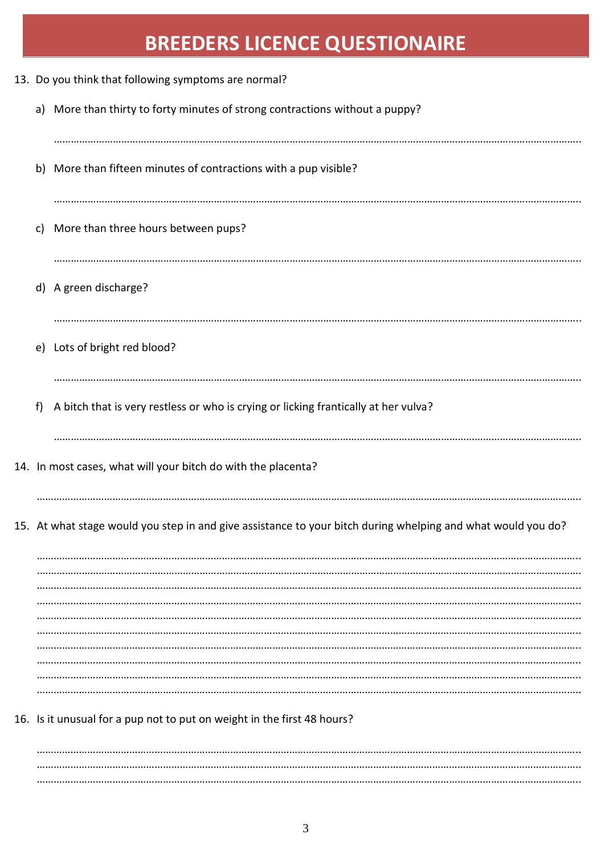## **BREEDERS LICENCE QUESTIONAIRE**

| 13. Do you think that following symptoms are normal? |    |                                                                                                              |
|------------------------------------------------------|----|--------------------------------------------------------------------------------------------------------------|
|                                                      |    | a) More than thirty to forty minutes of strong contractions without a puppy?                                 |
|                                                      |    | b) More than fifteen minutes of contractions with a pup visible?                                             |
|                                                      | c) | More than three hours between pups?                                                                          |
|                                                      |    | d) A green discharge?                                                                                        |
|                                                      |    | e) Lots of bright red blood?                                                                                 |
|                                                      | f) | A bitch that is very restless or who is crying or licking frantically at her vulva?                          |
|                                                      |    | 14. In most cases, what will your bitch do with the placenta?                                                |
|                                                      |    | 15. At what stage would you step in and give assistance to your bitch during whelping and what would you do? |
|                                                      |    |                                                                                                              |
|                                                      |    |                                                                                                              |
|                                                      |    | 16. Is it unusual for a pup not to put on weight in the first 48 hours?                                      |
|                                                      |    |                                                                                                              |